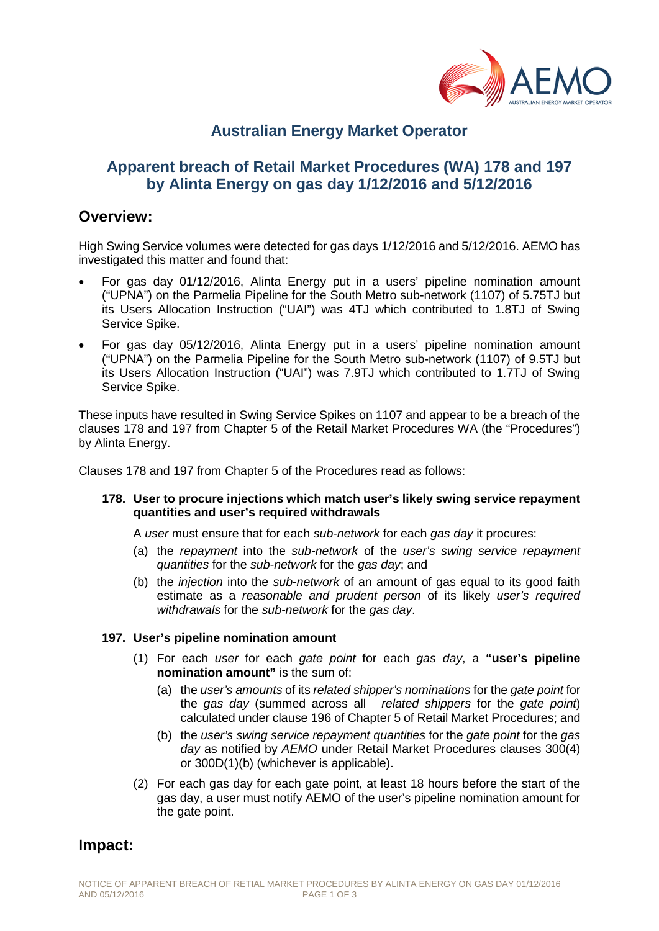

# **Australian Energy Market Operator**

# **Apparent breach of Retail Market Procedures (WA) 178 and 197 by Alinta Energy on gas day 1/12/2016 and 5/12/2016**

## **Overview:**

High Swing Service volumes were detected for gas days 1/12/2016 and 5/12/2016. AEMO has investigated this matter and found that:

- For gas day 01/12/2016, Alinta Energy put in a users' pipeline nomination amount ("UPNA") on the Parmelia Pipeline for the South Metro sub-network (1107) of 5.75TJ but its Users Allocation Instruction ("UAI") was 4TJ which contributed to 1.8TJ of Swing Service Spike.
- For gas day 05/12/2016, Alinta Energy put in a users' pipeline nomination amount ("UPNA") on the Parmelia Pipeline for the South Metro sub-network (1107) of 9.5TJ but its Users Allocation Instruction ("UAI") was 7.9TJ which contributed to 1.7TJ of Swing Service Spike.

These inputs have resulted in Swing Service Spikes on 1107 and appear to be a breach of the clauses 178 and 197 from Chapter 5 of the Retail Market Procedures WA (the "Procedures") by Alinta Energy.

Clauses 178 and 197 from Chapter 5 of the Procedures read as follows:

#### **178. User to procure injections which match user's likely swing service repayment quantities and user's required withdrawals**

A *user* must ensure that for each *sub-network* for each *gas day* it procures:

- (a) the *repayment* into the *sub-network* of the *user's swing service repayment quantities* for the *sub-network* for the *gas day*; and
- (b) the *injection* into the *sub-network* of an amount of gas equal to its good faith estimate as a *reasonable and prudent person* of its likely *user's required withdrawals* for the *sub-network* for the *gas day*.

#### **197. User's pipeline nomination amount**

- (1) For each *user* for each *gate point* for each *gas day*, a **"user's pipeline nomination amount"** is the sum of:
	- (a) the *user's amounts* of its *related shipper's nominations* for the *gate point* for the *gas day* (summed across all *related shippers* for the *gate point*) calculated under clause 196 of Chapter 5 of Retail Market Procedures; and
	- (b) the *user's swing service repayment quantities* for the *gate point* for the *gas day* as notified by *AEMO* under Retail Market Procedures clauses 300(4) or 300D(1)(b) (whichever is applicable).
- (2) For each gas day for each gate point, at least 18 hours before the start of the gas day, a user must notify AEMO of the user's pipeline nomination amount for the gate point.

## **Impact:**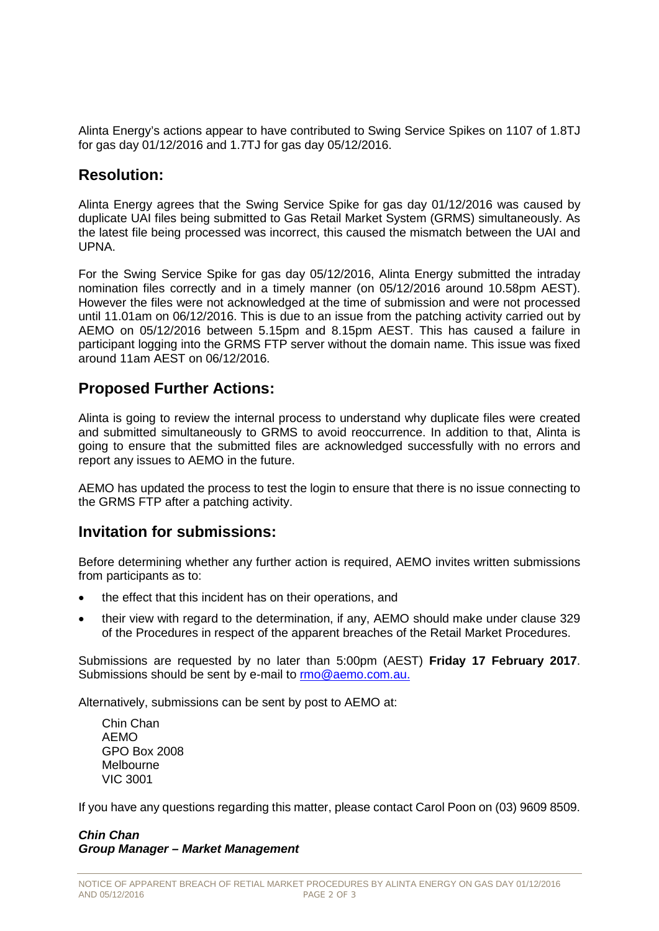Alinta Energy's actions appear to have contributed to Swing Service Spikes on 1107 of 1.8TJ for gas day 01/12/2016 and 1.7TJ for gas day 05/12/2016.

# **Resolution:**

Alinta Energy agrees that the Swing Service Spike for gas day 01/12/2016 was caused by duplicate UAI files being submitted to Gas Retail Market System (GRMS) simultaneously. As the latest file being processed was incorrect, this caused the mismatch between the UAI and UPNA.

For the Swing Service Spike for gas day 05/12/2016, Alinta Energy submitted the intraday nomination files correctly and in a timely manner (on 05/12/2016 around 10.58pm AEST). However the files were not acknowledged at the time of submission and were not processed until 11.01am on 06/12/2016. This is due to an issue from the patching activity carried out by AEMO on 05/12/2016 between 5.15pm and 8.15pm AEST. This has caused a failure in participant logging into the GRMS FTP server without the domain name. This issue was fixed around 11am AEST on 06/12/2016.

# **Proposed Further Actions:**

Alinta is going to review the internal process to understand why duplicate files were created and submitted simultaneously to GRMS to avoid reoccurrence. In addition to that, Alinta is going to ensure that the submitted files are acknowledged successfully with no errors and report any issues to AEMO in the future.

AEMO has updated the process to test the login to ensure that there is no issue connecting to the GRMS FTP after a patching activity.

# **Invitation for submissions:**

Before determining whether any further action is required, AEMO invites written submissions from participants as to:

- the effect that this incident has on their operations, and
- their view with regard to the determination, if any, AEMO should make under clause 329 of the Procedures in respect of the apparent breaches of the Retail Market Procedures.

Submissions are requested by no later than 5:00pm (AEST) **Friday 17 February 2017**. Submissions should be sent by e-mail to [rmo@aemo.com.au.](mailto:rmo@aemo.com.au)

Alternatively, submissions can be sent by post to AEMO at:

Chin Chan  $AEMO$ GPO Box 2008 Melbourne VIC 3001

If you have any questions regarding this matter, please contact Carol Poon on (03) 9609 8509.

### *Chin Chan Group Manager – Market Management*